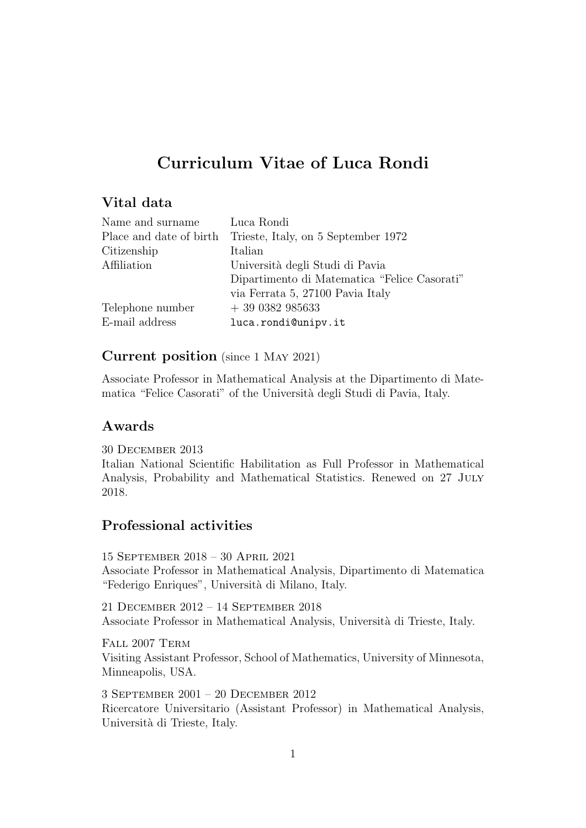# Curriculum Vitae of Luca Rondi

# Vital data

| Luca Rondi                                   |
|----------------------------------------------|
| Trieste, Italy, on 5 September 1972          |
| Italian                                      |
| Università degli Studi di Pavia              |
| Dipartimento di Matematica "Felice Casorati" |
| via Ferrata 5, 27100 Pavia Italy             |
| $+390382985633$                              |
| luca.rondi@unipv.it                          |
|                                              |

# Current position (since 1 May 2021)

Associate Professor in Mathematical Analysis at the Dipartimento di Matematica "Felice Casorati" of the Università degli Studi di Pavia, Italy.

# Awards

30 December 2013

Italian National Scientific Habilitation as Full Professor in Mathematical Analysis, Probability and Mathematical Statistics. Renewed on 27 JULY 2018.

# Professional activities

15 September 2018 – 30 April 2021 Associate Professor in Mathematical Analysis, Dipartimento di Matematica "Federigo Enriques", Università di Milano, Italy.

21 December 2012 – 14 September 2018 Associate Professor in Mathematical Analysis, Universit`a di Trieste, Italy.

FALL 2007 TERM Visiting Assistant Professor, School of Mathematics, University of Minnesota, Minneapolis, USA.

3 September 2001 – 20 December 2012 Ricercatore Universitario (Assistant Professor) in Mathematical Analysis, Università di Trieste, Italy.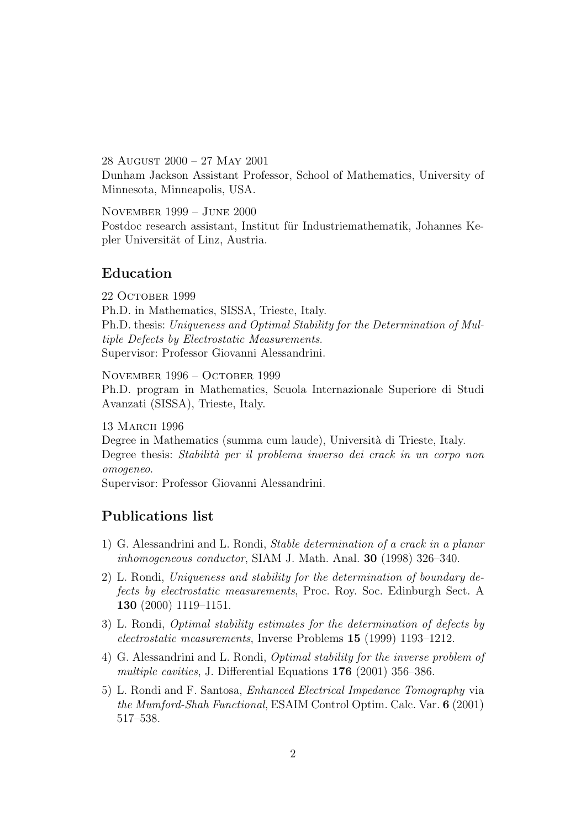28 August 2000 – 27 May 2001

Dunham Jackson Assistant Professor, School of Mathematics, University of Minnesota, Minneapolis, USA.

November 1999 – June 2000

Postdoc research assistant, Institut für Industriemathematik, Johannes Kepler Universität of Linz, Austria.

# Education

22 October 1999 Ph.D. in Mathematics, SISSA, Trieste, Italy. Ph.D. thesis: Uniqueness and Optimal Stability for the Determination of Multiple Defects by Electrostatic Measurements. Supervisor: Professor Giovanni Alessandrini.

November 1996 – October 1999

Ph.D. program in Mathematics, Scuola Internazionale Superiore di Studi Avanzati (SISSA), Trieste, Italy.

13 March 1996

Degree in Mathematics (summa cum laude), Università di Trieste, Italy. Degree thesis: Stabilità per il problema inverso dei crack in un corpo non omogeneo.

Supervisor: Professor Giovanni Alessandrini.

# Publications list

- 1) G. Alessandrini and L. Rondi, Stable determination of a crack in a planar inhomogeneous conductor, SIAM J. Math. Anal. 30 (1998) 326–340.
- 2) L. Rondi, Uniqueness and stability for the determination of boundary defects by electrostatic measurements, Proc. Roy. Soc. Edinburgh Sect. A 130 (2000) 1119–1151.
- 3) L. Rondi, Optimal stability estimates for the determination of defects by electrostatic measurements, Inverse Problems 15 (1999) 1193–1212.
- 4) G. Alessandrini and L. Rondi, Optimal stability for the inverse problem of multiple cavities, J. Differential Equations 176 (2001) 356–386.
- 5) L. Rondi and F. Santosa, Enhanced Electrical Impedance Tomography via the Mumford-Shah Functional, ESAIM Control Optim. Calc. Var. 6 (2001) 517–538.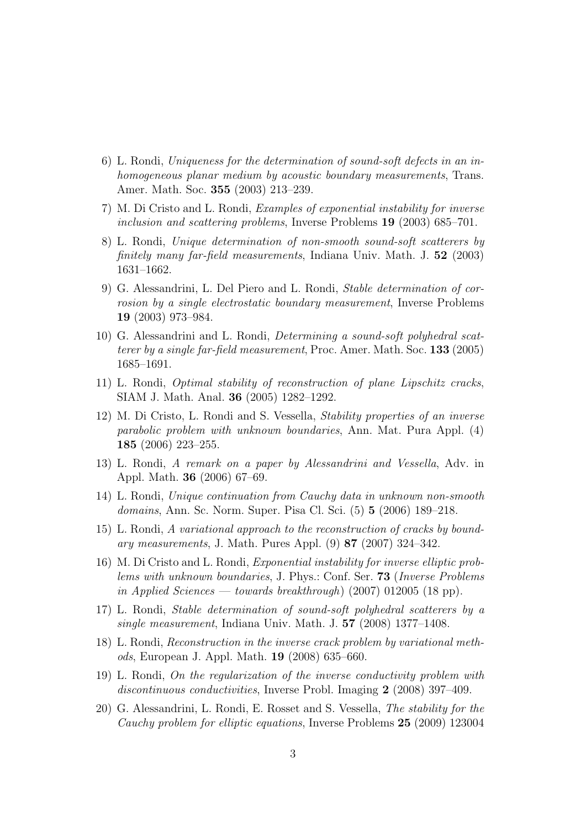- 6) L. Rondi, Uniqueness for the determination of sound-soft defects in an inhomogeneous planar medium by acoustic boundary measurements, Trans. Amer. Math. Soc. 355 (2003) 213–239.
- 7) M. Di Cristo and L. Rondi, Examples of exponential instability for inverse inclusion and scattering problems, Inverse Problems 19 (2003) 685–701.
- 8) L. Rondi, Unique determination of non-smooth sound-soft scatterers by finitely many far-field measurements, Indiana Univ. Math. J. 52 (2003) 1631–1662.
- 9) G. Alessandrini, L. Del Piero and L. Rondi, Stable determination of corrosion by a single electrostatic boundary measurement, Inverse Problems 19 (2003) 973–984.
- 10) G. Alessandrini and L. Rondi, Determining a sound-soft polyhedral scatterer by a single far-field measurement, Proc. Amer. Math. Soc. 133 (2005) 1685–1691.
- 11) L. Rondi, Optimal stability of reconstruction of plane Lipschitz cracks, SIAM J. Math. Anal. 36 (2005) 1282–1292.
- 12) M. Di Cristo, L. Rondi and S. Vessella, Stability properties of an inverse parabolic problem with unknown boundaries, Ann. Mat. Pura Appl. (4) 185 (2006) 223–255.
- 13) L. Rondi, A remark on a paper by Alessandrini and Vessella, Adv. in Appl. Math. 36 (2006) 67–69.
- 14) L. Rondi, Unique continuation from Cauchy data in unknown non-smooth domains, Ann. Sc. Norm. Super. Pisa Cl. Sci. (5) 5 (2006) 189–218.
- 15) L. Rondi, A variational approach to the reconstruction of cracks by boundary measurements, J. Math. Pures Appl. (9) 87 (2007) 324–342.
- 16) M. Di Cristo and L. Rondi, Exponential instability for inverse elliptic problems with unknown boundaries, J. Phys.: Conf. Ser. 73 (Inverse Problems in Applied Sciences — towards breakthrough) (2007) 012005 (18 pp).
- 17) L. Rondi, Stable determination of sound-soft polyhedral scatterers by a single measurement, Indiana Univ. Math. J. 57 (2008) 1377–1408.
- 18) L. Rondi, Reconstruction in the inverse crack problem by variational methods, European J. Appl. Math. 19 (2008) 635–660.
- 19) L. Rondi, On the regularization of the inverse conductivity problem with discontinuous conductivities, Inverse Probl. Imaging 2 (2008) 397–409.
- 20) G. Alessandrini, L. Rondi, E. Rosset and S. Vessella, The stability for the Cauchy problem for elliptic equations, Inverse Problems 25 (2009) 123004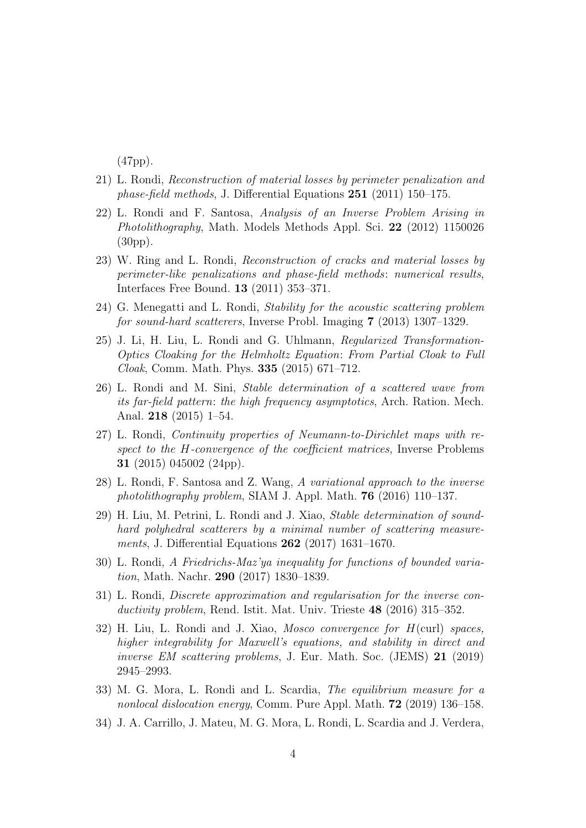(47pp).

- 21) L. Rondi, Reconstruction of material losses by perimeter penalization and phase-field methods, J. Differential Equations 251 (2011) 150–175.
- 22) L. Rondi and F. Santosa, Analysis of an Inverse Problem Arising in Photolithography, Math. Models Methods Appl. Sci. 22 (2012) 1150026 (30pp).
- 23) W. Ring and L. Rondi, Reconstruction of cracks and material losses by perimeter-like penalizations and phase-field methods: numerical results, Interfaces Free Bound. 13 (2011) 353–371.
- 24) G. Menegatti and L. Rondi, Stability for the acoustic scattering problem for sound-hard scatterers, Inverse Probl. Imaging 7 (2013) 1307–1329.
- 25) J. Li, H. Liu, L. Rondi and G. Uhlmann, Regularized Transformation-Optics Cloaking for the Helmholtz Equation: From Partial Cloak to Full Cloak, Comm. Math. Phys. 335 (2015) 671–712.
- 26) L. Rondi and M. Sini, Stable determination of a scattered wave from its far-field pattern: the high frequency asymptotics, Arch. Ration. Mech. Anal. 218 (2015) 1–54.
- 27) L. Rondi, Continuity properties of Neumann-to-Dirichlet maps with respect to the H-convergence of the coefficient matrices, Inverse Problems 31 (2015) 045002 (24pp).
- 28) L. Rondi, F. Santosa and Z. Wang, A variational approach to the inverse photolithography problem, SIAM J. Appl. Math. 76 (2016) 110–137.
- 29) H. Liu, M. Petrini, L. Rondi and J. Xiao, Stable determination of soundhard polyhedral scatterers by a minimal number of scattering measurements, J. Differential Equations 262 (2017) 1631–1670.
- 30) L. Rondi, A Friedrichs-Maz'ya inequality for functions of bounded variation, Math. Nachr. 290 (2017) 1830–1839.
- 31) L. Rondi, Discrete approximation and regularisation for the inverse conductivity problem, Rend. Istit. Mat. Univ. Trieste 48 (2016) 315–352.
- 32) H. Liu, L. Rondi and J. Xiao, Mosco convergence for  $H(\text{curl})$  spaces, higher integrability for Maxwell's equations, and stability in direct and inverse EM scattering problems, J. Eur. Math. Soc. (JEMS) 21 (2019) 2945–2993.
- 33) M. G. Mora, L. Rondi and L. Scardia, The equilibrium measure for a nonlocal dislocation energy, Comm. Pure Appl. Math. 72 (2019) 136–158.
- 34) J. A. Carrillo, J. Mateu, M. G. Mora, L. Rondi, L. Scardia and J. Verdera,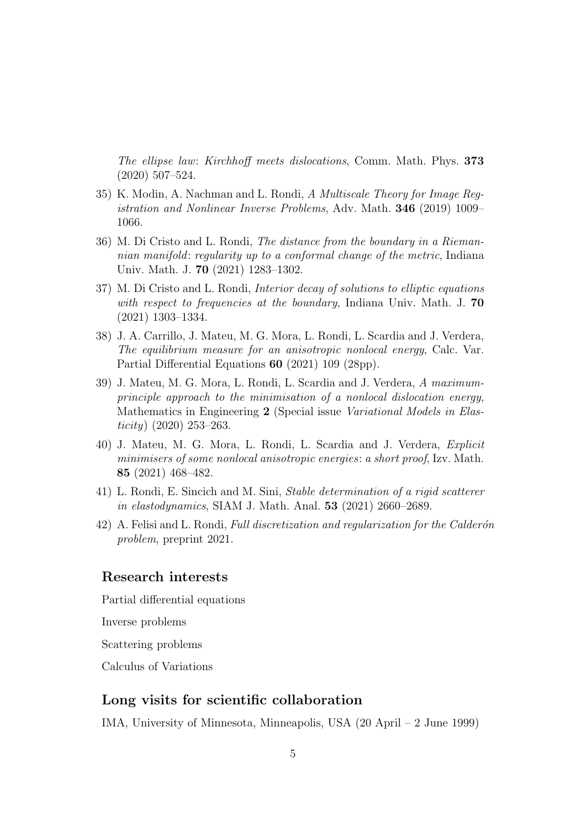The ellipse law: Kirchhoff meets dislocations, Comm. Math. Phys. 373 (2020) 507–524.

- 35) K. Modin, A. Nachman and L. Rondi, A Multiscale Theory for Image Registration and Nonlinear Inverse Problems, Adv. Math. 346 (2019) 1009– 1066.
- 36) M. Di Cristo and L. Rondi, The distance from the boundary in a Riemannian manifold: regularity up to a conformal change of the metric, Indiana Univ. Math. J. 70 (2021) 1283–1302.
- 37) M. Di Cristo and L. Rondi, Interior decay of solutions to elliptic equations with respect to frequencies at the boundary, Indiana Univ. Math. J. 70 (2021) 1303–1334.
- 38) J. A. Carrillo, J. Mateu, M. G. Mora, L. Rondi, L. Scardia and J. Verdera, The equilibrium measure for an anisotropic nonlocal energy, Calc. Var. Partial Differential Equations 60 (2021) 109 (28pp).
- 39) J. Mateu, M. G. Mora, L. Rondi, L. Scardia and J. Verdera, A maximumprinciple approach to the minimisation of a nonlocal dislocation energy, Mathematics in Engineering 2 (Special issue Variational Models in Elasticity)  $(2020)$  253–263.
- 40) J. Mateu, M. G. Mora, L. Rondi, L. Scardia and J. Verdera, Explicit minimisers of some nonlocal anisotropic energies: a short proof, Izv. Math. 85 (2021) 468–482.
- 41) L. Rondi, E. Sincich and M. Sini, Stable determination of a rigid scatterer in elastodynamics, SIAM J. Math. Anal. 53 (2021) 2660–2689.
- 42) A. Felisi and L. Rondi, Full discretization and regularization for the Calderón problem, preprint 2021.

### Research interests

Partial differential equations

Inverse problems

Scattering problems

Calculus of Variations

# Long visits for scientific collaboration

IMA, University of Minnesota, Minneapolis, USA (20 April – 2 June 1999)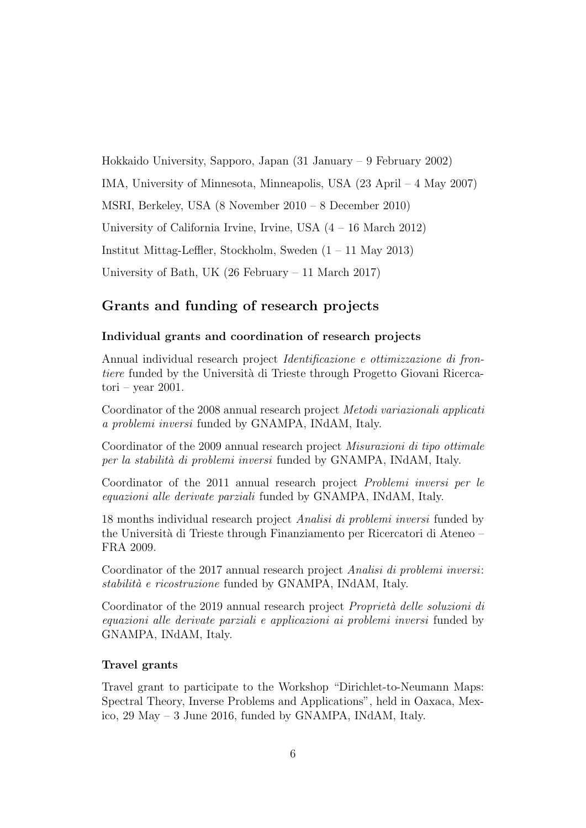Hokkaido University, Sapporo, Japan (31 January – 9 February 2002) IMA, University of Minnesota, Minneapolis, USA (23 April – 4 May 2007) MSRI, Berkeley, USA (8 November 2010 – 8 December 2010) University of California Irvine, Irvine, USA (4 – 16 March 2012) Institut Mittag-Leffler, Stockholm, Sweden (1 – 11 May 2013) University of Bath, UK (26 February – 11 March 2017)

# Grants and funding of research projects

### Individual grants and coordination of research projects

Annual individual research project Identificazione e ottimizzazione di frontiere funded by the Università di Trieste through Progetto Giovani Ricercatori – year 2001.

Coordinator of the 2008 annual research project Metodi variazionali applicati a problemi inversi funded by GNAMPA, INdAM, Italy.

Coordinator of the 2009 annual research project Misurazioni di tipo ottimale per la stabilità di problemi inversi funded by GNAMPA, INdAM, Italy.

Coordinator of the 2011 annual research project Problemi inversi per le equazioni alle derivate parziali funded by GNAMPA, INdAM, Italy.

18 months individual research project Analisi di problemi inversi funded by the Università di Trieste through Finanziamento per Ricercatori di Ateneo – FRA 2009.

Coordinator of the 2017 annual research project Analisi di problemi inversi: stabilità e ricostruzione funded by GNAMPA, INdAM, Italy.

Coordinator of the 2019 annual research project *Proprietà delle soluzioni di* equazioni alle derivate parziali e applicazioni ai problemi inversi funded by GNAMPA, INdAM, Italy.

#### Travel grants

Travel grant to participate to the Workshop "Dirichlet-to-Neumann Maps: Spectral Theory, Inverse Problems and Applications", held in Oaxaca, Mexico, 29 May – 3 June 2016, funded by GNAMPA, INdAM, Italy.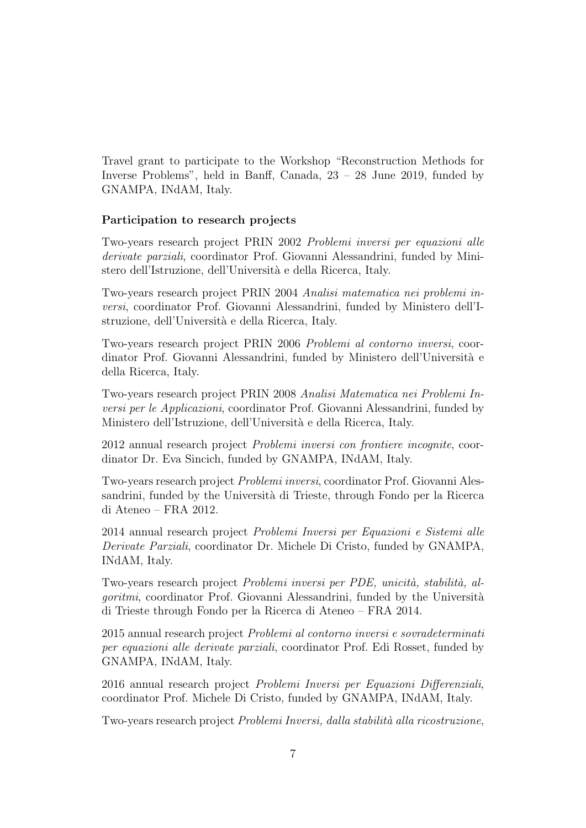Travel grant to participate to the Workshop "Reconstruction Methods for Inverse Problems", held in Banff, Canada, 23 – 28 June 2019, funded by GNAMPA, INdAM, Italy.

### Participation to research projects

Two-years research project PRIN 2002 Problemi inversi per equazioni alle derivate parziali, coordinator Prof. Giovanni Alessandrini, funded by Ministero dell'Istruzione, dell'Università e della Ricerca, Italy.

Two-years research project PRIN 2004 Analisi matematica nei problemi inversi, coordinator Prof. Giovanni Alessandrini, funded by Ministero dell'Istruzione, dell'Università e della Ricerca, Italy.

Two-years research project PRIN 2006 Problemi al contorno inversi, coordinator Prof. Giovanni Alessandrini, funded by Ministero dell'Università e della Ricerca, Italy.

Two-years research project PRIN 2008 Analisi Matematica nei Problemi Inversi per le Applicazioni, coordinator Prof. Giovanni Alessandrini, funded by Ministero dell'Istruzione, dell'Università e della Ricerca, Italy.

2012 annual research project Problemi inversi con frontiere incognite, coordinator Dr. Eva Sincich, funded by GNAMPA, INdAM, Italy.

Two-years research project Problemi inversi, coordinator Prof. Giovanni Alessandrini, funded by the Università di Trieste, through Fondo per la Ricerca di Ateneo – FRA 2012.

2014 annual research project Problemi Inversi per Equazioni e Sistemi alle Derivate Parziali, coordinator Dr. Michele Di Cristo, funded by GNAMPA, INdAM, Italy.

Two-years research project Problemi inversi per PDE, unicità, stabilità, al*goritmi*, coordinator Prof. Giovanni Alessandrini, funded by the Università di Trieste through Fondo per la Ricerca di Ateneo – FRA 2014.

2015 annual research project Problemi al contorno inversi e sovradeterminati per equazioni alle derivate parziali, coordinator Prof. Edi Rosset, funded by GNAMPA, INdAM, Italy.

2016 annual research project Problemi Inversi per Equazioni Differenziali, coordinator Prof. Michele Di Cristo, funded by GNAMPA, INdAM, Italy.

Two-years research project *Problemi Inversi*, dalla stabilità alla ricostruzione,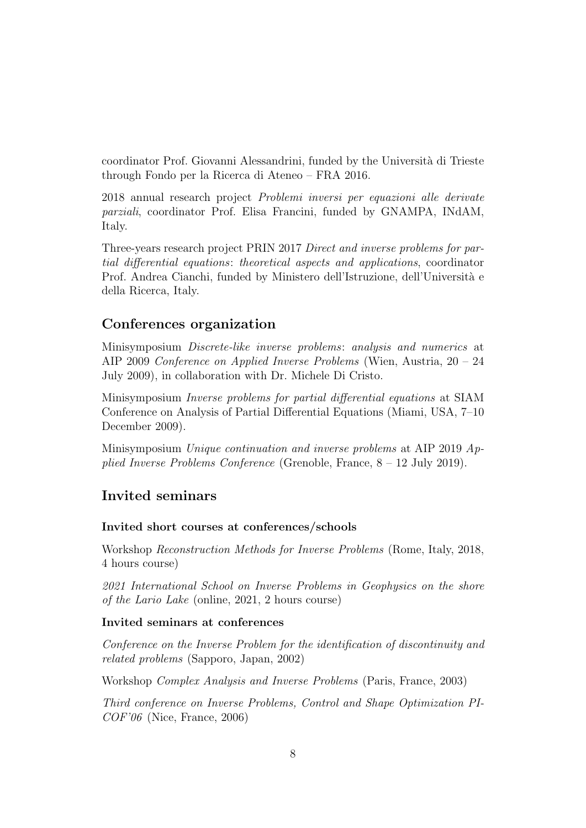coordinator Prof. Giovanni Alessandrini, funded by the Universit`a di Trieste through Fondo per la Ricerca di Ateneo – FRA 2016.

2018 annual research project Problemi inversi per equazioni alle derivate parziali, coordinator Prof. Elisa Francini, funded by GNAMPA, INdAM, Italy.

Three-years research project PRIN 2017 Direct and inverse problems for partial differential equations: theoretical aspects and applications, coordinator Prof. Andrea Cianchi, funded by Ministero dell'Istruzione, dell'Università e della Ricerca, Italy.

### Conferences organization

Minisymposium Discrete-like inverse problems: analysis and numerics at AIP 2009 Conference on Applied Inverse Problems (Wien, Austria, 20 – 24 July 2009), in collaboration with Dr. Michele Di Cristo.

Minisymposium Inverse problems for partial differential equations at SIAM Conference on Analysis of Partial Differential Equations (Miami, USA, 7–10 December 2009).

Minisymposium Unique continuation and inverse problems at AIP 2019 Applied Inverse Problems Conference (Grenoble, France, 8 – 12 July 2019).

### Invited seminars

#### Invited short courses at conferences/schools

Workshop Reconstruction Methods for Inverse Problems (Rome, Italy, 2018, 4 hours course)

2021 International School on Inverse Problems in Geophysics on the shore of the Lario Lake (online, 2021, 2 hours course)

### Invited seminars at conferences

Conference on the Inverse Problem for the identification of discontinuity and related problems (Sapporo, Japan, 2002)

Workshop Complex Analysis and Inverse Problems (Paris, France, 2003)

Third conference on Inverse Problems, Control and Shape Optimization PI- $COF'06$  (Nice, France, 2006)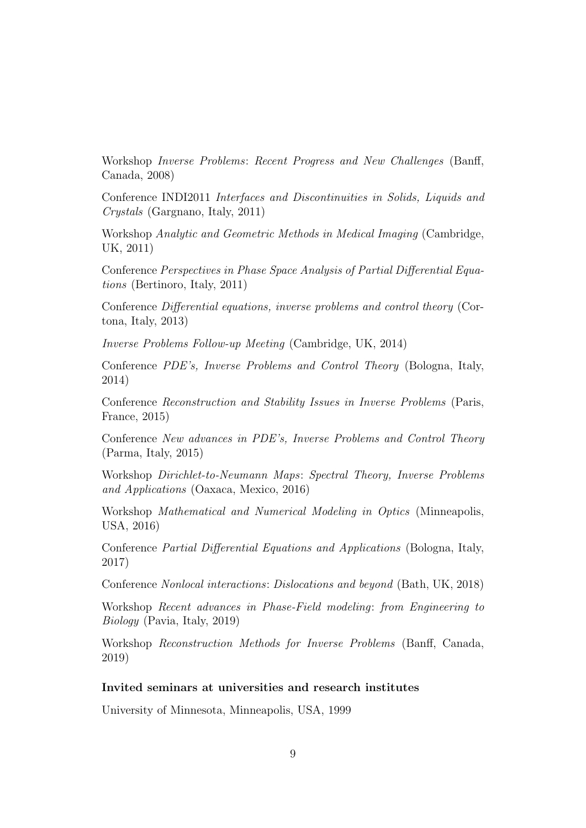Workshop Inverse Problems: Recent Progress and New Challenges (Banff, Canada, 2008)

Conference INDI2011 Interfaces and Discontinuities in Solids, Liquids and Crystals (Gargnano, Italy, 2011)

Workshop Analytic and Geometric Methods in Medical Imaging (Cambridge, UK, 2011)

Conference Perspectives in Phase Space Analysis of Partial Differential Equations (Bertinoro, Italy, 2011)

Conference Differential equations, inverse problems and control theory (Cortona, Italy, 2013)

Inverse Problems Follow-up Meeting (Cambridge, UK, 2014)

Conference PDE's, Inverse Problems and Control Theory (Bologna, Italy, 2014)

Conference Reconstruction and Stability Issues in Inverse Problems (Paris, France, 2015)

Conference New advances in PDE's, Inverse Problems and Control Theory (Parma, Italy, 2015)

Workshop Dirichlet-to-Neumann Maps: Spectral Theory, Inverse Problems and Applications (Oaxaca, Mexico, 2016)

Workshop Mathematical and Numerical Modeling in Optics (Minneapolis, USA, 2016)

Conference Partial Differential Equations and Applications (Bologna, Italy, 2017)

Conference Nonlocal interactions: Dislocations and beyond (Bath, UK, 2018)

Workshop Recent advances in Phase-Field modeling: from Engineering to Biology (Pavia, Italy, 2019)

Workshop Reconstruction Methods for Inverse Problems (Banff, Canada, 2019)

#### Invited seminars at universities and research institutes

University of Minnesota, Minneapolis, USA, 1999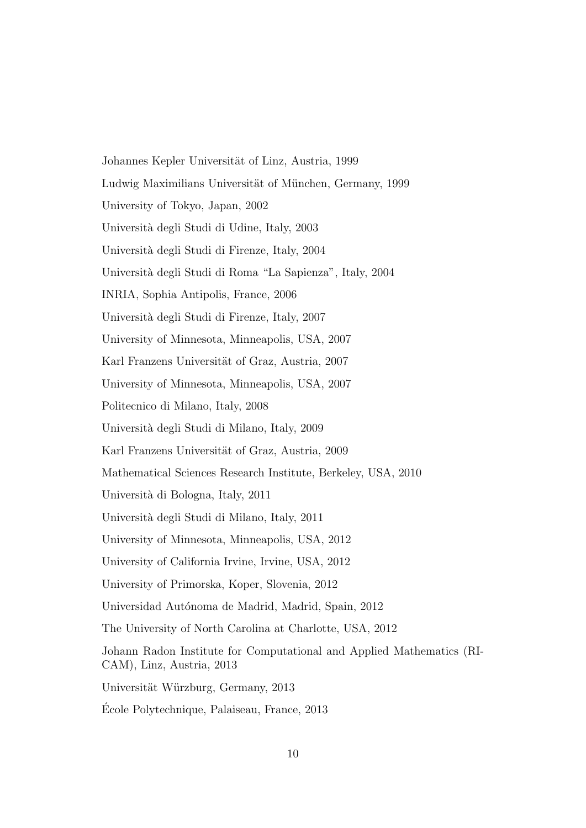Johannes Kepler Universität of Linz, Austria, 1999 Ludwig Maximilians Universität of München, Germany, 1999 University of Tokyo, Japan, 2002 Universit`a degli Studi di Udine, Italy, 2003 Universit`a degli Studi di Firenze, Italy, 2004 Universit`a degli Studi di Roma "La Sapienza", Italy, 2004 INRIA, Sophia Antipolis, France, 2006 Universit`a degli Studi di Firenze, Italy, 2007 University of Minnesota, Minneapolis, USA, 2007 Karl Franzens Universität of Graz, Austria, 2007 University of Minnesota, Minneapolis, USA, 2007 Politecnico di Milano, Italy, 2008 Universit`a degli Studi di Milano, Italy, 2009 Karl Franzens Universität of Graz, Austria, 2009 Mathematical Sciences Research Institute, Berkeley, USA, 2010 Universit`a di Bologna, Italy, 2011 Universit`a degli Studi di Milano, Italy, 2011 University of Minnesota, Minneapolis, USA, 2012 University of California Irvine, Irvine, USA, 2012 University of Primorska, Koper, Slovenia, 2012 Universidad Autónoma de Madrid, Madrid, Spain, 2012 The University of North Carolina at Charlotte, USA, 2012 Johann Radon Institute for Computational and Applied Mathematics (RI-CAM), Linz, Austria, 2013 Universität Würzburg, Germany, 2013 Ecole Polytechnique, Palaiseau, France, 2013 ´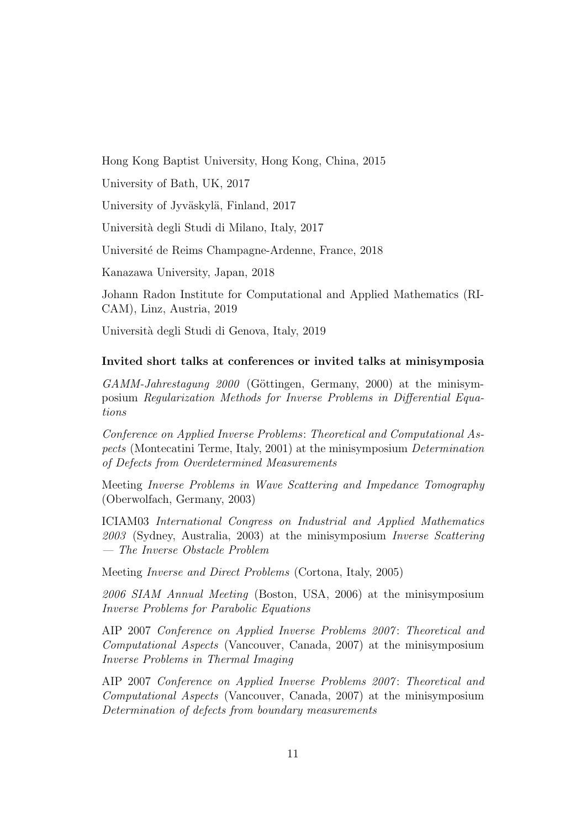Hong Kong Baptist University, Hong Kong, China, 2015

University of Bath, UK, 2017

University of Jyväskylä, Finland, 2017

Universit`a degli Studi di Milano, Italy, 2017

Universit´e de Reims Champagne-Ardenne, France, 2018

Kanazawa University, Japan, 2018

Johann Radon Institute for Computational and Applied Mathematics (RI-CAM), Linz, Austria, 2019

Universit`a degli Studi di Genova, Italy, 2019

### Invited short talks at conferences or invited talks at minisymposia

 $GAMM-Jahrestagung 2000$  (Göttingen, Germany, 2000) at the minisymposium Regularization Methods for Inverse Problems in Differential Equations

Conference on Applied Inverse Problems: Theoretical and Computational Aspects (Montecatini Terme, Italy, 2001) at the minisymposium Determination of Defects from Overdetermined Measurements

Meeting Inverse Problems in Wave Scattering and Impedance Tomography (Oberwolfach, Germany, 2003)

ICIAM03 International Congress on Industrial and Applied Mathematics 2003 (Sydney, Australia, 2003) at the minisymposium Inverse Scattering — The Inverse Obstacle Problem

Meeting Inverse and Direct Problems (Cortona, Italy, 2005)

2006 SIAM Annual Meeting (Boston, USA, 2006) at the minisymposium Inverse Problems for Parabolic Equations

AIP 2007 Conference on Applied Inverse Problems 2007: Theoretical and Computational Aspects (Vancouver, Canada, 2007) at the minisymposium Inverse Problems in Thermal Imaging

AIP 2007 Conference on Applied Inverse Problems 2007: Theoretical and Computational Aspects (Vancouver, Canada, 2007) at the minisymposium Determination of defects from boundary measurements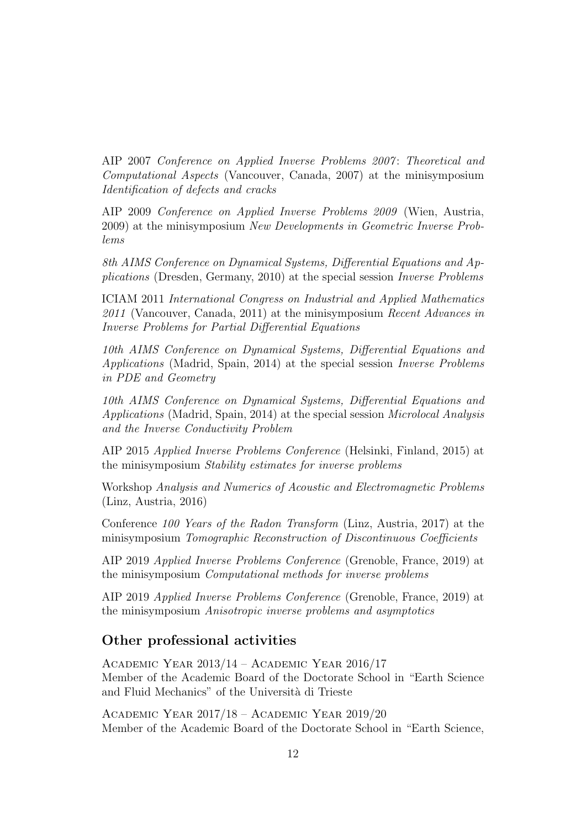AIP 2007 Conference on Applied Inverse Problems 2007: Theoretical and Computational Aspects (Vancouver, Canada, 2007) at the minisymposium Identification of defects and cracks

AIP 2009 Conference on Applied Inverse Problems 2009 (Wien, Austria, 2009) at the minisymposium New Developments in Geometric Inverse Problems

8th AIMS Conference on Dynamical Systems, Differential Equations and Applications (Dresden, Germany, 2010) at the special session Inverse Problems

ICIAM 2011 International Congress on Industrial and Applied Mathematics  $2011$  (Vancouver, Canada, 2011) at the minisymposium Recent Advances in Inverse Problems for Partial Differential Equations

10th AIMS Conference on Dynamical Systems, Differential Equations and Applications (Madrid, Spain, 2014) at the special session Inverse Problems in PDE and Geometry

10th AIMS Conference on Dynamical Systems, Differential Equations and Applications (Madrid, Spain, 2014) at the special session Microlocal Analysis and the Inverse Conductivity Problem

AIP 2015 Applied Inverse Problems Conference (Helsinki, Finland, 2015) at the minisymposium Stability estimates for inverse problems

Workshop Analysis and Numerics of Acoustic and Electromagnetic Problems (Linz, Austria, 2016)

Conference 100 Years of the Radon Transform (Linz, Austria, 2017) at the minisymposium Tomographic Reconstruction of Discontinuous Coefficients

AIP 2019 Applied Inverse Problems Conference (Grenoble, France, 2019) at the minisymposium Computational methods for inverse problems

AIP 2019 Applied Inverse Problems Conference (Grenoble, France, 2019) at the minisymposium Anisotropic inverse problems and asymptotics

### Other professional activities

ACADEMIC YEAR  $2013/14$  – ACADEMIC YEAR  $2016/17$ Member of the Academic Board of the Doctorate School in "Earth Science and Fluid Mechanics" of the Universit`a di Trieste

ACADEMIC YEAR  $2017/18$  – ACADEMIC YEAR  $2019/20$ Member of the Academic Board of the Doctorate School in "Earth Science,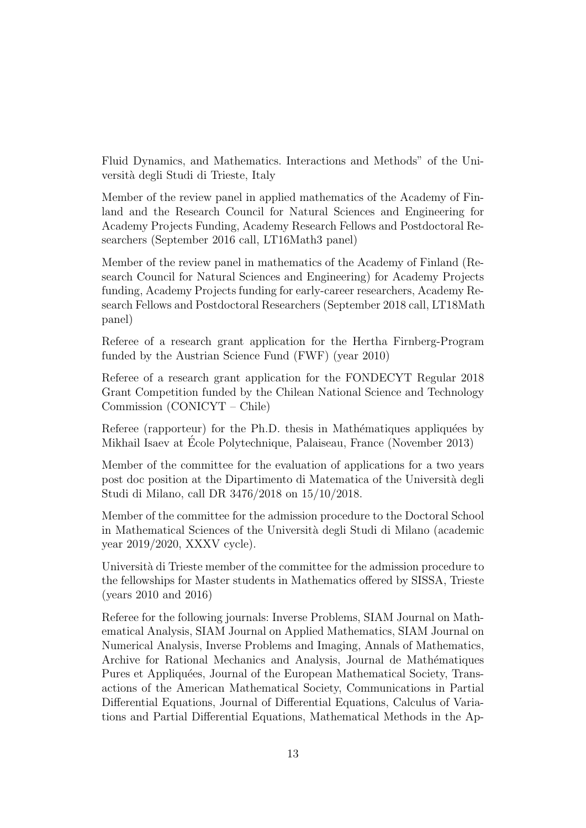Fluid Dynamics, and Mathematics. Interactions and Methods" of the Universit`a degli Studi di Trieste, Italy

Member of the review panel in applied mathematics of the Academy of Finland and the Research Council for Natural Sciences and Engineering for Academy Projects Funding, Academy Research Fellows and Postdoctoral Researchers (September 2016 call, LT16Math3 panel)

Member of the review panel in mathematics of the Academy of Finland (Research Council for Natural Sciences and Engineering) for Academy Projects funding, Academy Projects funding for early-career researchers, Academy Research Fellows and Postdoctoral Researchers (September 2018 call, LT18Math panel)

Referee of a research grant application for the Hertha Firnberg-Program funded by the Austrian Science Fund (FWF) (year 2010)

Referee of a research grant application for the FONDECYT Regular 2018 Grant Competition funded by the Chilean National Science and Technology Commission (CONICYT – Chile)

Referee (rapporteur) for the Ph.D. thesis in Mathématiques appliquées by Mikhail Isaev at Ecole Polytechnique, Palaiseau, France (November 2013) ´

Member of the committee for the evaluation of applications for a two years post doc position at the Dipartimento di Matematica of the Università degli Studi di Milano, call DR 3476/2018 on 15/10/2018.

Member of the committee for the admission procedure to the Doctoral School in Mathematical Sciences of the Universit`a degli Studi di Milano (academic year 2019/2020, XXXV cycle).

Università di Trieste member of the committee for the admission procedure to the fellowships for Master students in Mathematics offered by SISSA, Trieste (years 2010 and 2016)

Referee for the following journals: Inverse Problems, SIAM Journal on Mathematical Analysis, SIAM Journal on Applied Mathematics, SIAM Journal on Numerical Analysis, Inverse Problems and Imaging, Annals of Mathematics, Archive for Rational Mechanics and Analysis, Journal de Mathématiques Pures et Appliquées, Journal of the European Mathematical Society, Transactions of the American Mathematical Society, Communications in Partial Differential Equations, Journal of Differential Equations, Calculus of Variations and Partial Differential Equations, Mathematical Methods in the Ap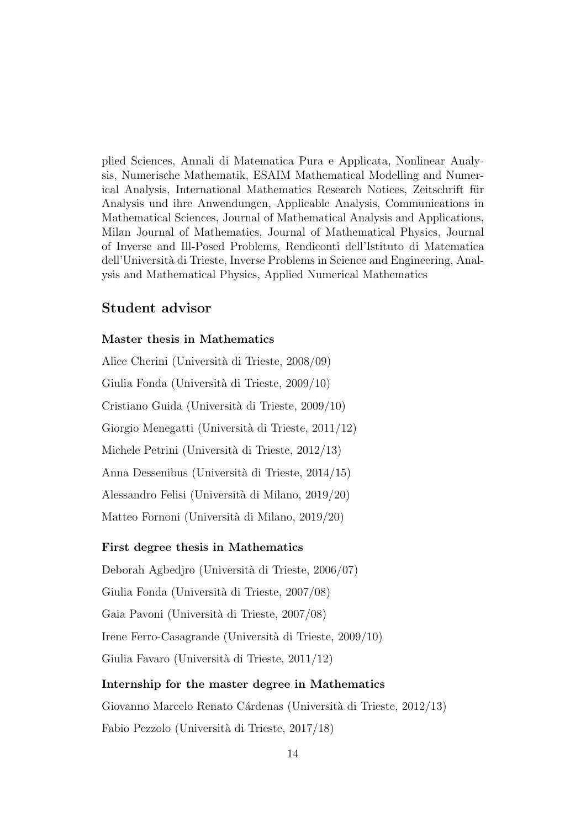plied Sciences, Annali di Matematica Pura e Applicata, Nonlinear Analysis, Numerische Mathematik, ESAIM Mathematical Modelling and Numerical Analysis, International Mathematics Research Notices, Zeitschrift für Analysis und ihre Anwendungen, Applicable Analysis, Communications in Mathematical Sciences, Journal of Mathematical Analysis and Applications, Milan Journal of Mathematics, Journal of Mathematical Physics, Journal of Inverse and Ill-Posed Problems, Rendiconti dell'Istituto di Matematica dell'Universit`a di Trieste, Inverse Problems in Science and Engineering, Analysis and Mathematical Physics, Applied Numerical Mathematics

### Student advisor

### Master thesis in Mathematics

Alice Cherini (Universit`a di Trieste, 2008/09) Giulia Fonda (Universit`a di Trieste, 2009/10) Cristiano Guida (Universit`a di Trieste, 2009/10) Giorgio Menegatti (Università di Trieste, 2011/12) Michele Petrini (Università di Trieste, 2012/13) Anna Dessenibus (Universit`a di Trieste, 2014/15) Alessandro Felisi (Universit`a di Milano, 2019/20) Matteo Fornoni (Universit`a di Milano, 2019/20)

#### First degree thesis in Mathematics

Deborah Agbedjro (Universit`a di Trieste, 2006/07)

Giulia Fonda (Universit`a di Trieste, 2007/08)

Gaia Pavoni (Universit`a di Trieste, 2007/08)

Irene Ferro-Casagrande (Universit`a di Trieste, 2009/10)

Giulia Favaro (Universit`a di Trieste, 2011/12)

#### Internship for the master degree in Mathematics

Giovanno Marcelo Renato Cárdenas (Università di Trieste, 2012/13) Fabio Pezzolo (Universit`a di Trieste, 2017/18)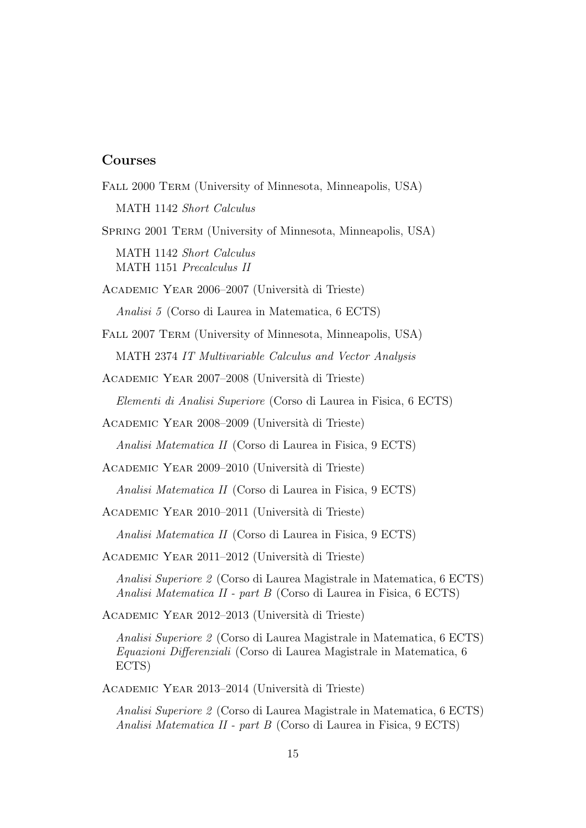### Courses

FALL 2000 TERM (University of Minnesota, Minneapolis, USA) MATH 1142 Short Calculus Spring 2001 Term (University of Minnesota, Minneapolis, USA) MATH 1142 Short Calculus MATH 1151 Precalculus II ACADEMIC YEAR 2006–2007 (Università di Trieste) Analisi 5 (Corso di Laurea in Matematica, 6 ECTS) FALL 2007 TERM (University of Minnesota, Minneapolis, USA) MATH 2374 IT Multivariable Calculus and Vector Analysis ACADEMIC YEAR 2007–2008 (Università di Trieste) Elementi di Analisi Superiore (Corso di Laurea in Fisica, 6 ECTS) ACADEMIC YEAR 2008–2009 (Università di Trieste) Analisi Matematica II (Corso di Laurea in Fisica, 9 ECTS) ACADEMIC YEAR 2009–2010 (Università di Trieste) Analisi Matematica II (Corso di Laurea in Fisica, 9 ECTS) ACADEMIC YEAR 2010–2011 (Università di Trieste) Analisi Matematica II (Corso di Laurea in Fisica, 9 ECTS) ACADEMIC YEAR 2011–2012 (Università di Trieste) Analisi Superiore 2 (Corso di Laurea Magistrale in Matematica, 6 ECTS) Analisi Matematica II - part B (Corso di Laurea in Fisica, 6 ECTS) ACADEMIC YEAR 2012–2013 (Università di Trieste) Analisi Superiore 2 (Corso di Laurea Magistrale in Matematica, 6 ECTS) Equazioni Differenziali (Corso di Laurea Magistrale in Matematica, 6 ECTS) ACADEMIC YEAR 2013–2014 (Università di Trieste) Analisi Superiore 2 (Corso di Laurea Magistrale in Matematica, 6 ECTS)

Analisi Matematica II - part B (Corso di Laurea in Fisica, 9 ECTS)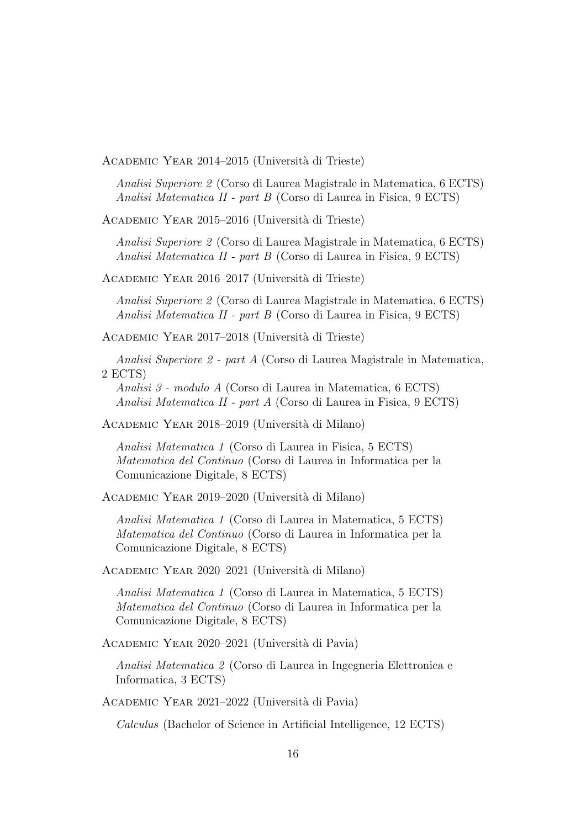ACADEMIC YEAR 2014–2015 (Università di Trieste)

Analisi Superiore 2 (Corso di Laurea Magistrale in Matematica, 6 ECTS) Analisi Matematica II - part B (Corso di Laurea in Fisica, 9 ECTS)

ACADEMIC YEAR 2015–2016 (Università di Trieste)

Analisi Superiore 2 (Corso di Laurea Magistrale in Matematica, 6 ECTS) Analisi Matematica II - part B (Corso di Laurea in Fisica, 9 ECTS)

ACADEMIC YEAR 2016–2017 (Università di Trieste)

Analisi Superiore 2 (Corso di Laurea Magistrale in Matematica, 6 ECTS) Analisi Matematica II - part B (Corso di Laurea in Fisica, 9 ECTS)

ACADEMIC YEAR 2017–2018 (Università di Trieste)

Analisi Superiore 2 - part A (Corso di Laurea Magistrale in Matematica, 2 ECTS)

Analisi 3 - modulo A (Corso di Laurea in Matematica, 6 ECTS) Analisi Matematica II - part A (Corso di Laurea in Fisica, 9 ECTS)

ACADEMIC YEAR 2018–2019 (Università di Milano)

Analisi Matematica 1 (Corso di Laurea in Fisica, 5 ECTS) Matematica del Continuo (Corso di Laurea in Informatica per la Comunicazione Digitale, 8 ECTS)

ACADEMIC YEAR 2019–2020 (Università di Milano)

Analisi Matematica 1 (Corso di Laurea in Matematica, 5 ECTS) Matematica del Continuo (Corso di Laurea in Informatica per la Comunicazione Digitale, 8 ECTS)

ACADEMIC YEAR 2020–2021 (Università di Milano)

Analisi Matematica 1 (Corso di Laurea in Matematica, 5 ECTS) Matematica del Continuo (Corso di Laurea in Informatica per la Comunicazione Digitale, 8 ECTS)

ACADEMIC YEAR 2020–2021 (Università di Pavia)

Analisi Matematica 2 (Corso di Laurea in Ingegneria Elettronica e Informatica, 3 ECTS)

ACADEMIC YEAR 2021–2022 (Università di Pavia)

Calculus (Bachelor of Science in Artificial Intelligence, 12 ECTS)